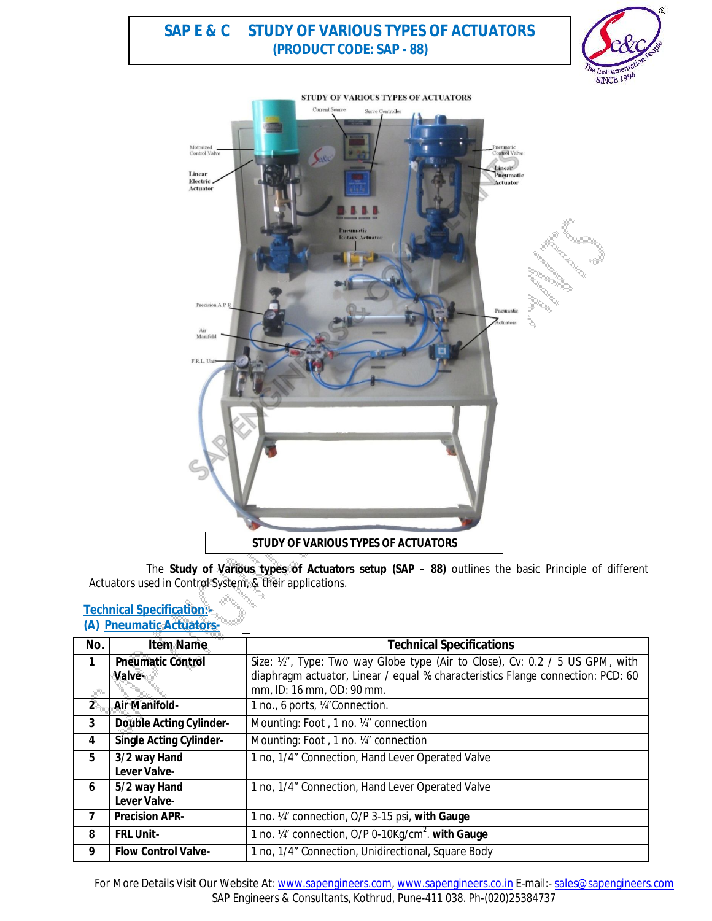# **SAP E & C STUDY OF VARIOUS TYPES OF ACTUATORS (PRODUCT CODE: SAP - 88)**





The **Study of Various types of Actuators setup (SAP – 88)** outlines the basic Principle of different Actuators used in Control System, & their applications.

## **Technical Specification:- (A) Pneumatic Actuators-**

| No.            | <b>Item Name</b>                   | <b>Technical Specifications</b>                                                                                                                                  |
|----------------|------------------------------------|------------------------------------------------------------------------------------------------------------------------------------------------------------------|
| 1              | <b>Pneumatic Control</b><br>Valve- | Size: 1/2", Type: Two way Globe type (Air to Close), Cv: 0.2 / 5 US GPM, with<br>diaphragm actuator, Linear / equal % characteristics Flange connection: PCD: 60 |
|                |                                    | mm, ID: 16 mm, OD: 90 mm.                                                                                                                                        |
| $\overline{2}$ | <b>Air Manifold-</b>               | 1 no., 6 ports, ¼"Connection.                                                                                                                                    |
| 3              | <b>Double Acting Cylinder-</b>     | Mounting: Foot, 1 no. 14" connection                                                                                                                             |
| 4              | <b>Single Acting Cylinder-</b>     | Mounting: Foot, 1 no. 14" connection                                                                                                                             |
| 5              | 3/2 way Hand<br>Lever Valve-       | 1 no, 1/4" Connection, Hand Lever Operated Valve                                                                                                                 |
| 6              | 5/2 way Hand<br>Lever Valve-       | 1 no, 1/4" Connection, Hand Lever Operated Valve                                                                                                                 |
| 7              | <b>Precision APR-</b>              | 1 no. 14" connection, O/P 3-15 psi, with Gauge                                                                                                                   |
| 8              | <b>FRL Unit-</b>                   | 1 no. 1/4" connection, O/P 0-10Kg/cm <sup>2</sup> . with Gauge                                                                                                   |
| 9              | <b>Flow Control Valve-</b>         | 1 no, 1/4" Connection, Unidirectional, Square Body                                                                                                               |

For More Details Visit Our Website At: www.sapengineers.com, www.sapengineers.co.in E-mail:- sales@sapengineers.com SAP Engineers & Consultants, Kothrud, Pune-411 038. Ph-(020)25384737